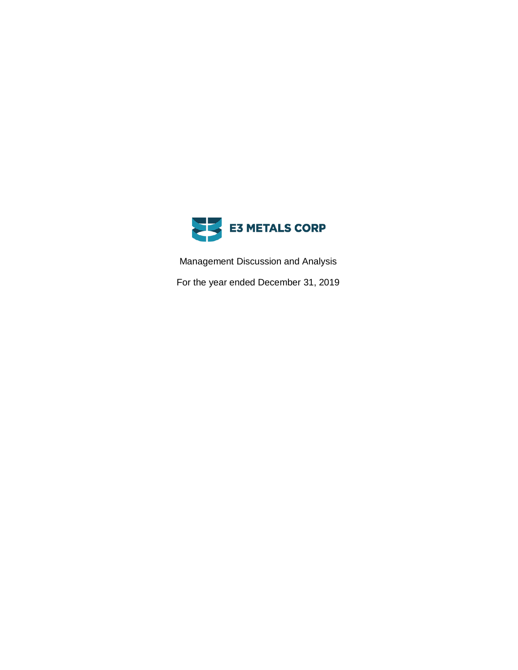

Management Discussion and Analysis

For the year ended December 31, 2019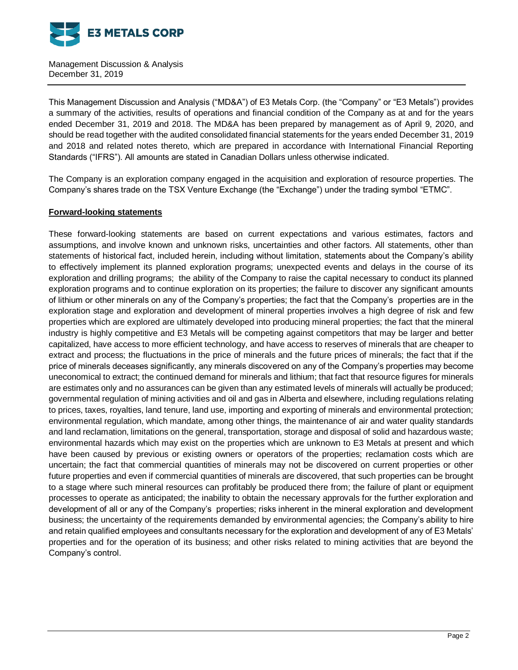

This Management Discussion and Analysis ("MD&A") of E3 Metals Corp. (the "Company" or "E3 Metals") provides a summary of the activities, results of operations and financial condition of the Company as at and for the years ended December 31, 2019 and 2018. The MD&A has been prepared by management as of April 9, 2020, and should be read together with the audited consolidated financial statements for the years ended December 31, 2019 and 2018 and related notes thereto, which are prepared in accordance with International Financial Reporting Standards ("IFRS"). All amounts are stated in Canadian Dollars unless otherwise indicated.

The Company is an exploration company engaged in the acquisition and exploration of resource properties. The Company's shares trade on the TSX Venture Exchange (the "Exchange") under the trading symbol "ETMC".

### **Forward-looking statements**

These forward-looking statements are based on current expectations and various estimates, factors and assumptions, and involve known and unknown risks, uncertainties and other factors. All statements, other than statements of historical fact, included herein, including without limitation, statements about the Company's ability to effectively implement its planned exploration programs; unexpected events and delays in the course of its exploration and drilling programs; the ability of the Company to raise the capital necessary to conduct its planned exploration programs and to continue exploration on its properties; the failure to discover any significant amounts of lithium or other minerals on any of the Company's properties; the fact that the Company's properties are in the exploration stage and exploration and development of mineral properties involves a high degree of risk and few properties which are explored are ultimately developed into producing mineral properties; the fact that the mineral industry is highly competitive and E3 Metals will be competing against competitors that may be larger and better capitalized, have access to more efficient technology, and have access to reserves of minerals that are cheaper to extract and process; the fluctuations in the price of minerals and the future prices of minerals; the fact that if the price of minerals deceases significantly, any minerals discovered on any of the Company's properties may become uneconomical to extract; the continued demand for minerals and lithium; that fact that resource figures for minerals are estimates only and no assurances can be given than any estimated levels of minerals will actually be produced; governmental regulation of mining activities and oil and gas in Alberta and elsewhere, including regulations relating to prices, taxes, royalties, land tenure, land use, importing and exporting of minerals and environmental protection; environmental regulation, which mandate, among other things, the maintenance of air and water quality standards and land reclamation, limitations on the general, transportation, storage and disposal of solid and hazardous waste; environmental hazards which may exist on the properties which are unknown to E3 Metals at present and which have been caused by previous or existing owners or operators of the properties; reclamation costs which are uncertain; the fact that commercial quantities of minerals may not be discovered on current properties or other future properties and even if commercial quantities of minerals are discovered, that such properties can be brought to a stage where such mineral resources can profitably be produced there from; the failure of plant or equipment processes to operate as anticipated; the inability to obtain the necessary approvals for the further exploration and development of all or any of the Company's properties; risks inherent in the mineral exploration and development business; the uncertainty of the requirements demanded by environmental agencies; the Company's ability to hire and retain qualified employees and consultants necessary for the exploration and development of any of E3 Metals' properties and for the operation of its business; and other risks related to mining activities that are beyond the Company's control.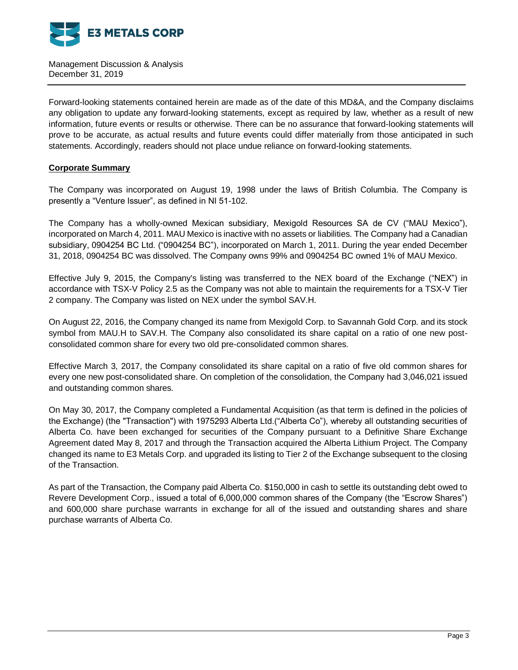

Forward-looking statements contained herein are made as of the date of this MD&A, and the Company disclaims any obligation to update any forward-looking statements, except as required by law, whether as a result of new information, future events or results or otherwise. There can be no assurance that forward-looking statements will prove to be accurate, as actual results and future events could differ materially from those anticipated in such statements. Accordingly, readers should not place undue reliance on forward-looking statements.

### **Corporate Summary**

The Company was incorporated on August 19, 1998 under the laws of British Columbia. The Company is presently a "Venture Issuer", as defined in NI 51-102.

The Company has a wholly-owned Mexican subsidiary, Mexigold Resources SA de CV ("MAU Mexico"), incorporated on March 4, 2011. MAU Mexico is inactive with no assets or liabilities. The Company had a Canadian subsidiary, 0904254 BC Ltd. ("0904254 BC"), incorporated on March 1, 2011. During the year ended December 31, 2018, 0904254 BC was dissolved. The Company owns 99% and 0904254 BC owned 1% of MAU Mexico.

Effective July 9, 2015, the Company's listing was transferred to the NEX board of the Exchange ("NEX") in accordance with TSX-V Policy 2.5 as the Company was not able to maintain the requirements for a TSX-V Tier 2 company. The Company was listed on NEX under the symbol SAV.H.

On August 22, 2016, the Company changed its name from Mexigold Corp. to Savannah Gold Corp. and its stock symbol from MAU.H to SAV.H. The Company also consolidated its share capital on a ratio of one new postconsolidated common share for every two old pre-consolidated common shares.

Effective March 3, 2017, the Company consolidated its share capital on a ratio of five old common shares for every one new post-consolidated share. On completion of the consolidation, the Company had 3,046,021 issued and outstanding common shares.

On May 30, 2017, the Company completed a Fundamental Acquisition (as that term is defined in the policies of the Exchange) (the "Transaction") with 1975293 Alberta Ltd.("Alberta Co"), whereby all outstanding securities of Alberta Co. have been exchanged for securities of the Company pursuant to a Definitive Share Exchange Agreement dated May 8, 2017 and through the Transaction acquired the Alberta Lithium Project. The Company changed its name to E3 Metals Corp. and upgraded its listing to Tier 2 of the Exchange subsequent to the closing of the Transaction.

As part of the Transaction, the Company paid Alberta Co. \$150,000 in cash to settle its outstanding debt owed to Revere Development Corp., issued a total of 6,000,000 common shares of the Company (the "Escrow Shares") and 600,000 share purchase warrants in exchange for all of the issued and outstanding shares and share purchase warrants of Alberta Co.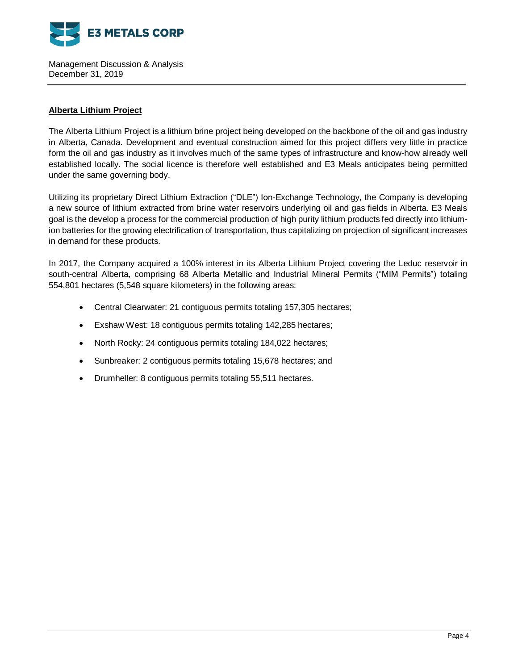

## **Alberta Lithium Project**

The Alberta Lithium Project is a lithium brine project being developed on the backbone of the oil and gas industry in Alberta, Canada. Development and eventual construction aimed for this project differs very little in practice form the oil and gas industry as it involves much of the same types of infrastructure and know-how already well established locally. The social licence is therefore well established and E3 Meals anticipates being permitted under the same governing body.

Utilizing its proprietary Direct Lithium Extraction ("DLE") Ion-Exchange Technology, the Company is developing a new source of lithium extracted from brine water reservoirs underlying oil and gas fields in Alberta. E3 Meals goal is the develop a process for the commercial production of high purity lithium products fed directly into lithiumion batteries for the growing electrification of transportation, thus capitalizing on projection of significant increases in demand for these products.

In 2017, the Company acquired a 100% interest in its Alberta Lithium Project covering the Leduc reservoir in south-central Alberta, comprising 68 Alberta Metallic and Industrial Mineral Permits ("MIM Permits") totaling 554,801 hectares (5,548 square kilometers) in the following areas:

- Central Clearwater: 21 contiguous permits totaling 157,305 hectares;
- Exshaw West: 18 contiguous permits totaling 142,285 hectares;
- North Rocky: 24 contiguous permits totaling 184,022 hectares;
- Sunbreaker: 2 contiguous permits totaling 15,678 hectares; and
- Drumheller: 8 contiguous permits totaling 55,511 hectares.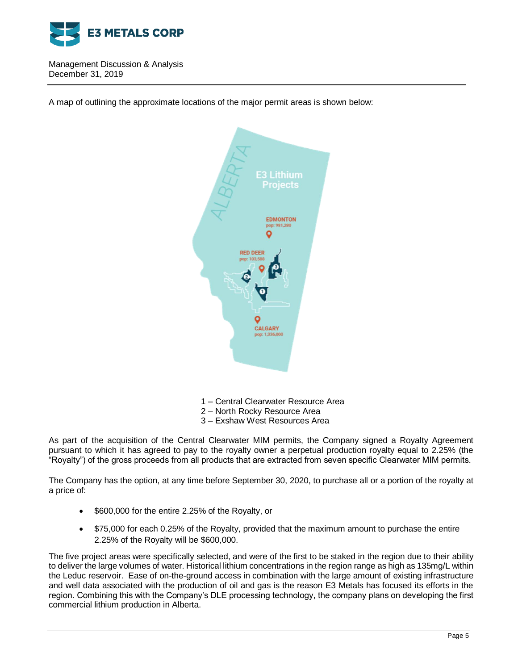

A map of outlining the approximate locations of the major permit areas is shown below:



- 1 Central Clearwater Resource Area
- 2 North Rocky Resource Area
- 3 Exshaw West Resources Area

As part of the acquisition of the Central Clearwater MIM permits, the Company signed a Royalty Agreement pursuant to which it has agreed to pay to the royalty owner a perpetual production royalty equal to 2.25% (the "Royalty") of the gross proceeds from all products that are extracted from seven specific Clearwater MIM permits.

The Company has the option, at any time before September 30, 2020, to purchase all or a portion of the royalty at a price of:

- \$600,000 for the entire 2.25% of the Royalty, or
- \$75,000 for each 0.25% of the Royalty, provided that the maximum amount to purchase the entire 2.25% of the Royalty will be \$600,000.

The five project areas were specifically selected, and were of the first to be staked in the region due to their ability to deliver the large volumes of water. Historical lithium concentrations in the region range as high as 135mg/L within the Leduc reservoir. Ease of on-the-ground access in combination with the large amount of existing infrastructure and well data associated with the production of oil and gas is the reason E3 Metals has focused its efforts in the region. Combining this with the Company's DLE processing technology, the company plans on developing the first commercial lithium production in Alberta.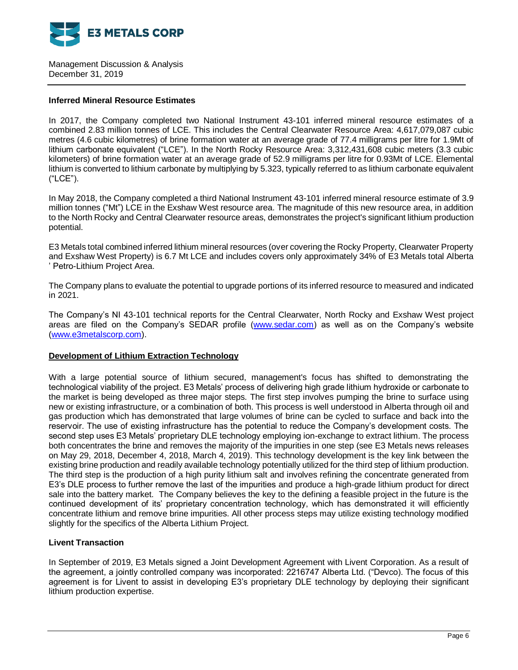

### **Inferred Mineral Resource Estimates**

In 2017, the Company completed two National Instrument 43-101 inferred mineral resource estimates of a combined 2.83 million tonnes of LCE. This includes the Central Clearwater Resource Area: 4,617,079,087 cubic metres (4.6 cubic kilometres) of brine formation water at an average grade of 77.4 milligrams per litre for 1.9Mt of lithium carbonate equivalent ("LCE"). In the North Rocky Resource Area: 3,312,431,608 cubic meters (3.3 cubic kilometers) of brine formation water at an average grade of 52.9 milligrams per litre for 0.93Mt of LCE. Elemental lithium is converted to lithium carbonate by multiplying by 5.323, typically referred to as lithium carbonate equivalent ("LCE").

In May 2018, the Company completed a third National Instrument 43-101 inferred mineral resource estimate of 3.9 million tonnes ("Mt") LCE in the Exshaw West resource area. The magnitude of this new resource area, in addition to the North Rocky and Central Clearwater resource areas, demonstrates the project's significant lithium production potential.

E3 Metals total combined inferred lithium mineral resources (over covering the Rocky Property, Clearwater Property and Exshaw West Property) is 6.7 Mt LCE and includes covers only approximately 34% of E3 Metals total Alberta ' Petro-Lithium Project Area.

The Company plans to evaluate the potential to upgrade portions of its inferred resource to measured and indicated in 2021.

The Company's NI 43-101 technical reports for the Central Clearwater, North Rocky and Exshaw West project areas are filed on the Company's SEDAR profile [\(www.sedar.com\)](http://www.sedar.com/) as well as on the Company's website [\(www.e3metalscorp.com\)](http://www.e3metalscorp.com/).

# **Development of Lithium Extraction Technology**

With a large potential source of lithium secured, management's focus has shifted to demonstrating the technological viability of the project. E3 Metals' process of delivering high grade lithium hydroxide or carbonate to the market is being developed as three major steps. The first step involves pumping the brine to surface using new or existing infrastructure, or a combination of both. This process is well understood in Alberta through oil and gas production which has demonstrated that large volumes of brine can be cycled to surface and back into the reservoir. The use of existing infrastructure has the potential to reduce the Company's development costs. The second step uses E3 Metals' proprietary DLE technology employing ion-exchange to extract lithium. The process both concentrates the brine and removes the majority of the impurities in one step (see E3 Metals news releases on May 29, 2018, December 4, 2018, March 4, 2019). This technology development is the key link between the existing brine production and readily available technology potentially utilized for the third step of lithium production. The third step is the production of a high purity lithium salt and involves refining the concentrate generated from E3's DLE process to further remove the last of the impurities and produce a high-grade lithium product for direct sale into the battery market. The Company believes the key to the defining a feasible project in the future is the continued development of its' proprietary concentration technology, which has demonstrated it will efficiently concentrate lithium and remove brine impurities. All other process steps may utilize existing technology modified slightly for the specifics of the Alberta Lithium Project.

# **Livent Transaction**

In September of 2019, E3 Metals signed a Joint Development Agreement with Livent Corporation. As a result of the agreement, a jointly controlled company was incorporated: 2216747 Alberta Ltd. ("Devco). The focus of this agreement is for Livent to assist in developing E3's proprietary DLE technology by deploying their significant lithium production expertise.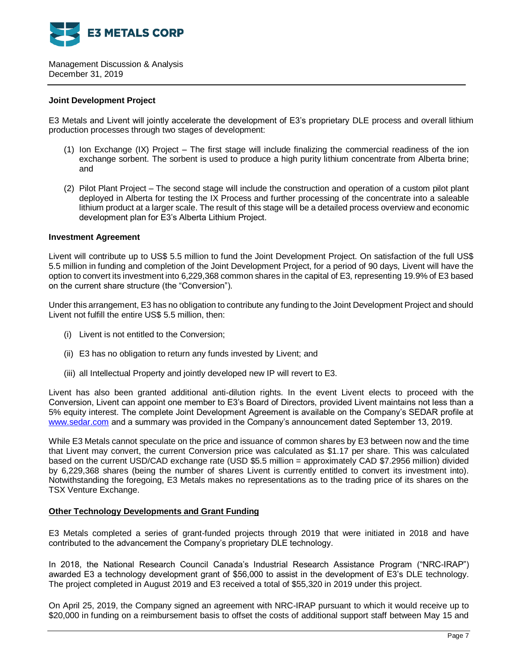

### **Joint Development Project**

E3 Metals and Livent will jointly accelerate the development of E3's proprietary DLE process and overall lithium production processes through two stages of development:

- (1) Ion Exchange (IX) Project The first stage will include finalizing the commercial readiness of the ion exchange sorbent. The sorbent is used to produce a high purity lithium concentrate from Alberta brine; and
- (2) Pilot Plant Project The second stage will include the construction and operation of a custom pilot plant deployed in Alberta for testing the IX Process and further processing of the concentrate into a saleable lithium product at a larger scale. The result of this stage will be a detailed process overview and economic development plan for E3's Alberta Lithium Project.

### **Investment Agreement**

Livent will contribute up to US\$ 5.5 million to fund the Joint Development Project. On satisfaction of the full US\$ 5.5 million in funding and completion of the Joint Development Project, for a period of 90 days, Livent will have the option to convert its investment into 6,229,368 common shares in the capital of E3, representing 19.9% of E3 based on the current share structure (the "Conversion").

Under this arrangement, E3 has no obligation to contribute any funding to the Joint Development Project and should Livent not fulfill the entire US\$ 5.5 million, then:

- (i) Livent is not entitled to the Conversion;
- (ii) E3 has no obligation to return any funds invested by Livent; and
- (iii) all Intellectual Property and jointly developed new IP will revert to E3.

Livent has also been granted additional anti-dilution rights. In the event Livent elects to proceed with the Conversion, Livent can appoint one member to E3's Board of Directors, provided Livent maintains not less than a 5% equity interest. The complete Joint Development Agreement is available on the Company's SEDAR profile at [www.sedar.com](http://www.sedar.com/) and a summary was provided in the Company's announcement dated September 13, 2019.

While E3 Metals cannot speculate on the price and issuance of common shares by E3 between now and the time that Livent may convert, the current Conversion price was calculated as \$1.17 per share. This was calculated based on the current USD/CAD exchange rate (USD \$5.5 million = approximately CAD \$7.2956 million) divided by 6,229,368 shares (being the number of shares Livent is currently entitled to convert its investment into). Notwithstanding the foregoing, E3 Metals makes no representations as to the trading price of its shares on the TSX Venture Exchange.

### **Other Technology Developments and Grant Funding**

E3 Metals completed a series of grant-funded projects through 2019 that were initiated in 2018 and have contributed to the advancement the Company's proprietary DLE technology.

In 2018, the National Research Council Canada's Industrial Research Assistance Program ("NRC-IRAP") awarded E3 a technology development grant of \$56,000 to assist in the development of E3's DLE technology. The project completed in August 2019 and E3 received a total of \$55,320 in 2019 under this project.

On April 25, 2019, the Company signed an agreement with NRC-IRAP pursuant to which it would receive up to \$20,000 in funding on a reimbursement basis to offset the costs of additional support staff between May 15 and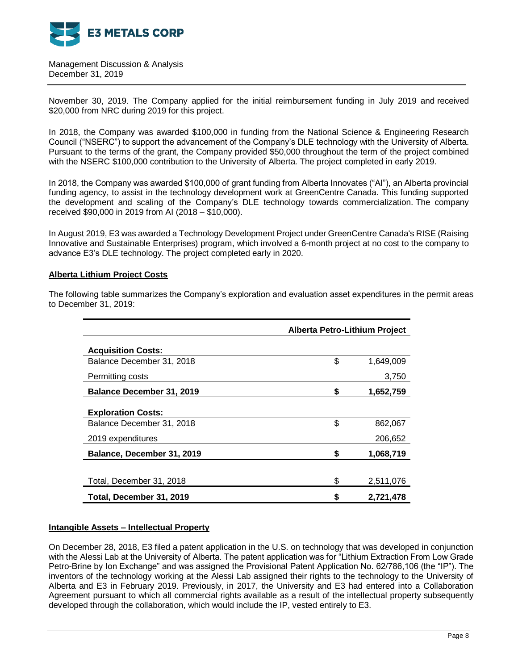

November 30, 2019. The Company applied for the initial reimbursement funding in July 2019 and received \$20,000 from NRC during 2019 for this project.

In 2018, the Company was awarded \$100,000 in funding from the National Science & Engineering Research Council ("NSERC") to support the advancement of the Company's DLE technology with the University of Alberta. Pursuant to the terms of the grant, the Company provided \$50,000 throughout the term of the project combined with the NSERC \$100,000 contribution to the University of Alberta. The project completed in early 2019.

In 2018, the Company was awarded \$100,000 of grant funding from Alberta Innovates ("AI"), an Alberta provincial funding agency, to assist in the technology development work at GreenCentre Canada. This funding supported the development and scaling of the Company's DLE technology towards commercialization. The company received \$90,000 in 2019 from AI (2018 – \$10,000).

In August 2019, E3 was awarded a Technology Development Project under GreenCentre Canada's RISE (Raising Innovative and Sustainable Enterprises) program, which involved a 6-month project at no cost to the company to advance E3's DLE technology. The project completed early in 2020.

### **Alberta Lithium Project Costs**

|                                  | <b>Alberta Petro-Lithium Project</b> |           |  |
|----------------------------------|--------------------------------------|-----------|--|
| <b>Acquisition Costs:</b>        |                                      |           |  |
| Balance December 31, 2018        | \$                                   | 1,649,009 |  |
| Permitting costs                 |                                      | 3,750     |  |
| <b>Balance December 31, 2019</b> | \$                                   | 1,652,759 |  |
| <b>Exploration Costs:</b>        |                                      |           |  |
| Balance December 31, 2018        | \$                                   | 862,067   |  |
| 2019 expenditures                |                                      | 206,652   |  |
| Balance, December 31, 2019       | \$                                   | 1,068,719 |  |
|                                  |                                      |           |  |
| Total, December 31, 2018         | \$                                   | 2,511,076 |  |
| Total, December 31, 2019         | S                                    | 2,721,478 |  |

The following table summarizes the Company's exploration and evaluation asset expenditures in the permit areas to December 31, 2019:

### **Intangible Assets – Intellectual Property**

On December 28, 2018, E3 filed a patent application in the U.S. on technology that was developed in conjunction with the Alessi Lab at the University of Alberta. The patent application was for "Lithium Extraction From Low Grade Petro-Brine by Ion Exchange" and was assigned the Provisional Patent Application No. 62/786,106 (the "IP"). The inventors of the technology working at the Alessi Lab assigned their rights to the technology to the University of Alberta and E3 in February 2019. Previously, in 2017, the University and E3 had entered into a Collaboration Agreement pursuant to which all commercial rights available as a result of the intellectual property subsequently developed through the collaboration, which would include the IP, vested entirely to E3.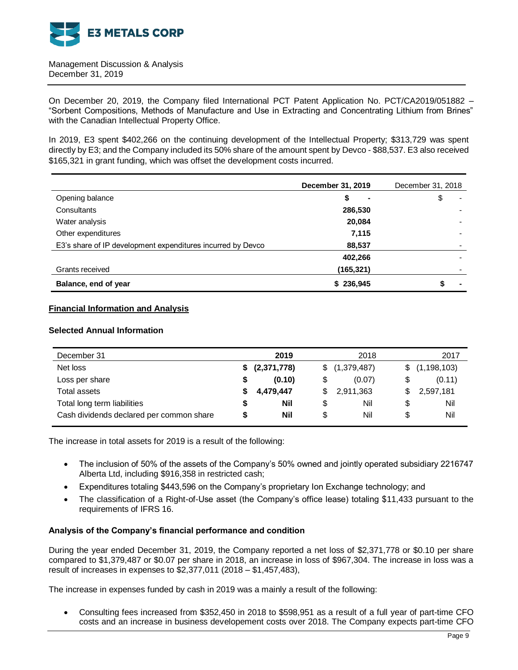

On December 20, 2019, the Company filed International PCT Patent Application No. PCT/CA2019/051882 – "Sorbent Compositions, Methods of Manufacture and Use in Extracting and Concentrating Lithium from Brines" with the Canadian Intellectual Property Office.

In 2019, E3 spent \$402,266 on the continuing development of the Intellectual Property; \$313,729 was spent directly by E3; and the Company included its 50% share of the amount spent by Devco - \$88,537. E3 also received \$165,321 in grant funding, which was offset the development costs incurred.

|                                                             | December 31, 2019 | December 31, 2018 |
|-------------------------------------------------------------|-------------------|-------------------|
| Opening balance                                             | \$                | \$<br>٠           |
| Consultants                                                 | 286,530           |                   |
| Water analysis                                              | 20,084            |                   |
| Other expenditures                                          | 7,115             |                   |
| E3's share of IP development expenditures incurred by Devco | 88,537            |                   |
|                                                             | 402,266           |                   |
| Grants received                                             | (165,321)         |                   |
| Balance, end of year                                        | \$236,945         | $\blacksquare$    |

### **Financial Information and Analysis**

### **Selected Annual Information**

| December 31                              |    | 2019           |    | 2018          |    | 2017          |
|------------------------------------------|----|----------------|----|---------------|----|---------------|
| Net loss                                 |    | \$ (2,371,778) |    | \$(1,379,487) | S. | (1, 198, 103) |
| Loss per share                           | \$ | (0.10)         |    | (0.07)        | \$ | (0.11)        |
| Total assets                             |    | 4,479,447      | S. | 2,911,363     | S  | 2,597,181     |
| Total long term liabilities              | S  | Nil            | \$ | Nil           | \$ | Nil           |
| Cash dividends declared per common share | S  | Nil            | S  | Nil           | \$ | Nil           |

The increase in total assets for 2019 is a result of the following:

- The inclusion of 50% of the assets of the Company's 50% owned and jointly operated subsidiary 2216747 Alberta Ltd, including \$916,358 in restricted cash;
- Expenditures totaling \$443,596 on the Company's proprietary Ion Exchange technology; and
- The classification of a Right-of-Use asset (the Company's office lease) totaling \$11,433 pursuant to the requirements of IFRS 16.

### **Analysis of the Company's financial performance and condition**

During the year ended December 31, 2019, the Company reported a net loss of \$2,371,778 or \$0.10 per share compared to \$1,379,487 or \$0.07 per share in 2018, an increase in loss of \$967,304. The increase in loss was a result of increases in expenses to \$2,377,011 (2018 – \$1,457,483),

The increase in expenses funded by cash in 2019 was a mainly a result of the following:

 Consulting fees increased from \$352,450 in 2018 to \$598,951 as a result of a full year of part-time CFO costs and an increase in business developement costs over 2018. The Company expects part-time CFO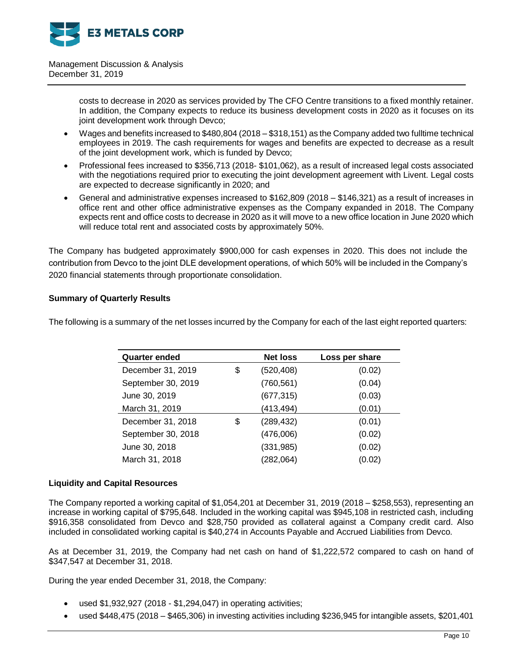

> costs to decrease in 2020 as services provided by The CFO Centre transitions to a fixed monthly retainer. In addition, the Company expects to reduce its business development costs in 2020 as it focuses on its joint development work through Devco;

- Wages and benefits increased to \$480,804 (2018 \$318,151) as the Company added two fulltime technical employees in 2019. The cash requirements for wages and benefits are expected to decrease as a result of the joint development work, which is funded by Devco;
- Professional fees increased to \$356,713 (2018- \$101,062), as a result of increased legal costs associated with the negotiations required prior to executing the joint development agreement with Livent. Legal costs are expected to decrease significantly in 2020; and
- General and administrative expenses increased to \$162,809 (2018 \$146,321) as a result of increases in office rent and other office administrative expenses as the Company expanded in 2018. The Company expects rent and office costs to decrease in 2020 as it will move to a new office location in June 2020 which will reduce total rent and associated costs by approximately 50%.

The Company has budgeted approximately \$900,000 for cash expenses in 2020. This does not include the contribution from Devco to the joint DLE development operations, of which 50% will be included in the Company's 2020 financial statements through proportionate consolidation.

# **Summary of Quarterly Results**

The following is a summary of the net losses incurred by the Company for each of the last eight reported quarters:

| <b>Quarter ended</b> | <b>Net loss</b>  | Loss per share |
|----------------------|------------------|----------------|
| December 31, 2019    | \$<br>(520, 408) | (0.02)         |
| September 30, 2019   | (760, 561)       | (0.04)         |
| June 30, 2019        | (677, 315)       | (0.03)         |
| March 31, 2019       | (413,494)        | (0.01)         |
| December 31, 2018    | \$<br>(289, 432) | (0.01)         |
| September 30, 2018   | (476,006)        | (0.02)         |
| June 30, 2018        | (331, 985)       | (0.02)         |
| March 31, 2018       | (282,064)        | (0.02)         |

### **Liquidity and Capital Resources**

The Company reported a working capital of \$1,054,201 at December 31, 2019 (2018 – \$258,553), representing an increase in working capital of \$795,648. Included in the working capital was \$945,108 in restricted cash, including \$916,358 consolidated from Devco and \$28,750 provided as collateral against a Company credit card. Also included in consolidated working capital is \$40,274 in Accounts Payable and Accrued Liabilities from Devco.

As at December 31, 2019, the Company had net cash on hand of \$1,222,572 compared to cash on hand of \$347,547 at December 31, 2018.

During the year ended December 31, 2018, the Company:

- used \$1,932,927 (2018 \$1,294,047) in operating activities;
- used \$448,475 (2018 \$465,306) in investing activities including \$236,945 for intangible assets, \$201,401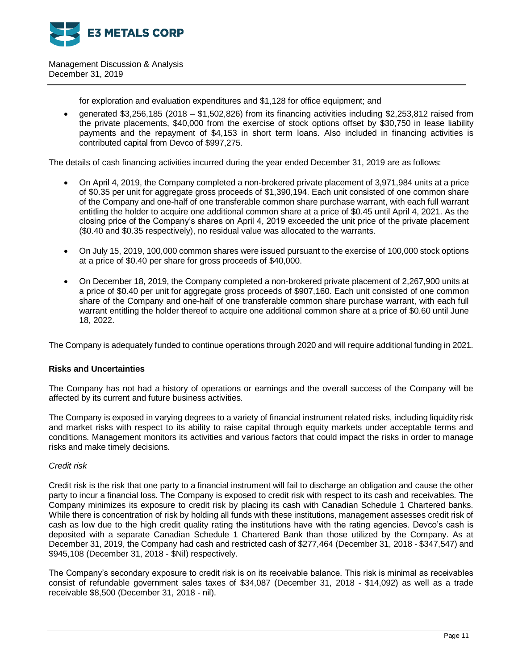

for exploration and evaluation expenditures and \$1,128 for office equipment; and

 generated \$3,256,185 (2018 – \$1,502,826) from its financing activities including \$2,253,812 raised from the private placements, \$40,000 from the exercise of stock options offset by \$30,750 in lease liability payments and the repayment of \$4,153 in short term loans. Also included in financing activities is contributed capital from Devco of \$997,275.

The details of cash financing activities incurred during the year ended December 31, 2019 are as follows:

- On April 4, 2019, the Company completed a non-brokered private placement of 3,971,984 units at a price of \$0.35 per unit for aggregate gross proceeds of \$1,390,194. Each unit consisted of one common share of the Company and one-half of one transferable common share purchase warrant, with each full warrant entitling the holder to acquire one additional common share at a price of \$0.45 until April 4, 2021. As the closing price of the Company's shares on April 4, 2019 exceeded the unit price of the private placement (\$0.40 and \$0.35 respectively), no residual value was allocated to the warrants.
- On July 15, 2019, 100,000 common shares were issued pursuant to the exercise of 100,000 stock options at a price of \$0.40 per share for gross proceeds of \$40,000.
- On December 18, 2019, the Company completed a non-brokered private placement of 2,267,900 units at a price of \$0.40 per unit for aggregate gross proceeds of \$907,160. Each unit consisted of one common share of the Company and one-half of one transferable common share purchase warrant, with each full warrant entitling the holder thereof to acquire one additional common share at a price of \$0.60 until June 18, 2022.

The Company is adequately funded to continue operations through 2020 and will require additional funding in 2021.

# **Risks and Uncertainties**

The Company has not had a history of operations or earnings and the overall success of the Company will be affected by its current and future business activities.

The Company is exposed in varying degrees to a variety of financial instrument related risks, including liquidity risk and market risks with respect to its ability to raise capital through equity markets under acceptable terms and conditions. Management monitors its activities and various factors that could impact the risks in order to manage risks and make timely decisions.

### *Credit risk*

Credit risk is the risk that one party to a financial instrument will fail to discharge an obligation and cause the other party to incur a financial loss. The Company is exposed to credit risk with respect to its cash and receivables. The Company minimizes its exposure to credit risk by placing its cash with Canadian Schedule 1 Chartered banks. While there is concentration of risk by holding all funds with these institutions, management assesses credit risk of cash as low due to the high credit quality rating the institutions have with the rating agencies. Devco's cash is deposited with a separate Canadian Schedule 1 Chartered Bank than those utilized by the Company. As at December 31, 2019, the Company had cash and restricted cash of \$277,464 (December 31, 2018 - \$347,547) and \$945,108 (December 31, 2018 - \$Nil) respectively.

The Company's secondary exposure to credit risk is on its receivable balance. This risk is minimal as receivables consist of refundable government sales taxes of \$34,087 (December 31, 2018 - \$14,092) as well as a trade receivable \$8,500 (December 31, 2018 - nil).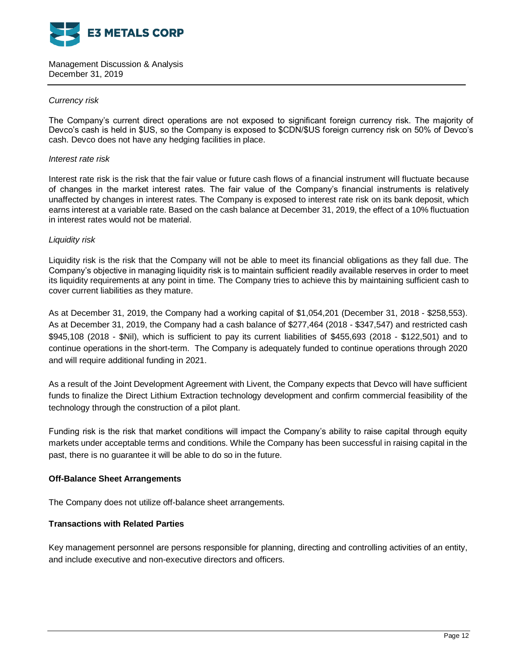

### *Currency risk*

The Company's current direct operations are not exposed to significant foreign currency risk. The majority of Devco's cash is held in \$US, so the Company is exposed to \$CDN/\$US foreign currency risk on 50% of Devco's cash. Devco does not have any hedging facilities in place.

### *Interest rate risk*

Interest rate risk is the risk that the fair value or future cash flows of a financial instrument will fluctuate because of changes in the market interest rates. The fair value of the Company's financial instruments is relatively unaffected by changes in interest rates. The Company is exposed to interest rate risk on its bank deposit, which earns interest at a variable rate. Based on the cash balance at December 31, 2019, the effect of a 10% fluctuation in interest rates would not be material.

### *Liquidity risk*

Liquidity risk is the risk that the Company will not be able to meet its financial obligations as they fall due. The Company's objective in managing liquidity risk is to maintain sufficient readily available reserves in order to meet its liquidity requirements at any point in time. The Company tries to achieve this by maintaining sufficient cash to cover current liabilities as they mature.

As at December 31, 2019, the Company had a working capital of \$1,054,201 (December 31, 2018 - \$258,553). As at December 31, 2019, the Company had a cash balance of \$277,464 (2018 - \$347,547) and restricted cash \$945,108 (2018 - \$Nil), which is sufficient to pay its current liabilities of \$455,693 (2018 - \$122,501) and to continue operations in the short-term. The Company is adequately funded to continue operations through 2020 and will require additional funding in 2021.

As a result of the Joint Development Agreement with Livent, the Company expects that Devco will have sufficient funds to finalize the Direct Lithium Extraction technology development and confirm commercial feasibility of the technology through the construction of a pilot plant.

Funding risk is the risk that market conditions will impact the Company's ability to raise capital through equity markets under acceptable terms and conditions. While the Company has been successful in raising capital in the past, there is no guarantee it will be able to do so in the future.

### **Off-Balance Sheet Arrangements**

The Company does not utilize off-balance sheet arrangements.

### **Transactions with Related Parties**

Key management personnel are persons responsible for planning, directing and controlling activities of an entity, and include executive and non-executive directors and officers.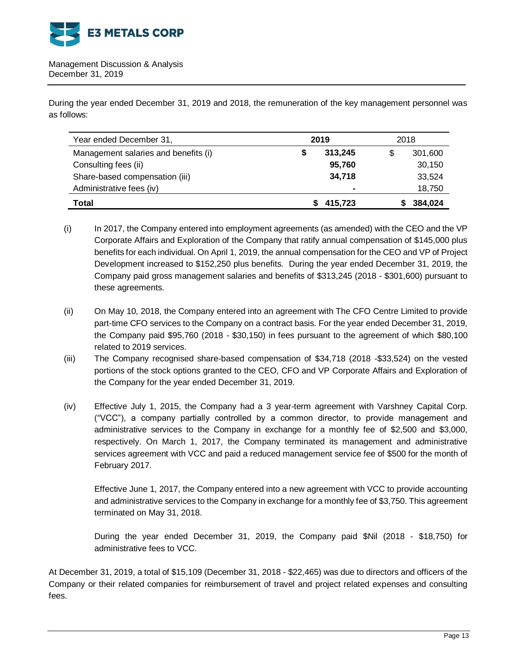

During the year ended December 31, 2019 and 2018, the remuneration of the key management personnel was as follows:

| Year ended December 31,              | 2019           | 2018 |         |
|--------------------------------------|----------------|------|---------|
| Management salaries and benefits (i) | 313,245<br>S   |      | 301,600 |
| Consulting fees (ii)                 | 95,760         |      | 30,150  |
| Share-based compensation (iii)       | 34,718         |      | 33,524  |
| Administrative fees (iv)             | $\blacksquare$ |      | 18,750  |
| Total                                | 415,723        |      | 384,024 |

(i) In 2017, the Company entered into employment agreements (as amended) with the CEO and the VP Corporate Affairs and Exploration of the Company that ratify annual compensation of \$145,000 plus benefits for each individual. On April 1, 2019, the annual compensation for the CEO and VP of Project Development increased to \$152,250 plus benefits. During the year ended December 31, 2019, the Company paid gross management salaries and benefits of \$313,245 (2018 - \$301,600) pursuant to these agreements.

- (ii) On May 10, 2018, the Company entered into an agreement with The CFO Centre Limited to provide part-time CFO services to the Company on a contract basis. For the year ended December 31, 2019, the Company paid \$95,760 (2018 - \$30,150) in fees pursuant to the agreement of which \$80,100 related to 2019 services.
- (iii) The Company recognised share-based compensation of \$34,718 (2018 -\$33,524) on the vested portions of the stock options granted to the CEO, CFO and VP Corporate Affairs and Exploration of the Company for the year ended December 31, 2019.
- (iv) Effective July 1, 2015, the Company had a 3 year-term agreement with Varshney Capital Corp. ("VCC"), a company partially controlled by a common director, to provide management and administrative services to the Company in exchange for a monthly fee of \$2,500 and \$3,000, respectively. On March 1, 2017, the Company terminated its management and administrative services agreement with VCC and paid a reduced management service fee of \$500 for the month of February 2017.

Effective June 1, 2017, the Company entered into a new agreement with VCC to provide accounting and administrative services to the Company in exchange for a monthly fee of \$3,750. This agreement terminated on May 31, 2018.

During the year ended December 31, 2019, the Company paid \$Nil (2018 - \$18,750) for administrative fees to VCC.

At December 31, 2019, a total of \$15,109 (December 31, 2018 - \$22,465) was due to directors and officers of the Company or their related companies for reimbursement of travel and project related expenses and consulting fees.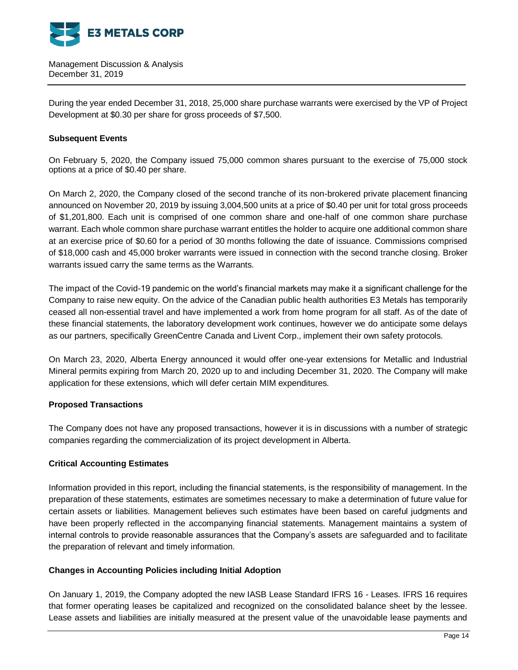

During the year ended December 31, 2018, 25,000 share purchase warrants were exercised by the VP of Project Development at \$0.30 per share for gross proceeds of \$7,500.

# **Subsequent Events**

On February 5, 2020, the Company issued 75,000 common shares pursuant to the exercise of 75,000 stock options at a price of \$0.40 per share.

On March 2, 2020, the Company closed of the second tranche of its non-brokered private placement financing announced on November 20, 2019 by issuing 3,004,500 units at a price of \$0.40 per unit for total gross proceeds of \$1,201,800. Each unit is comprised of one common share and one-half of one common share purchase warrant. Each whole common share purchase warrant entitles the holder to acquire one additional common share at an exercise price of \$0.60 for a period of 30 months following the date of issuance. Commissions comprised of \$18,000 cash and 45,000 broker warrants were issued in connection with the second tranche closing. Broker warrants issued carry the same terms as the Warrants.

The impact of the Covid-19 pandemic on the world's financial markets may make it a significant challenge for the Company to raise new equity. On the advice of the Canadian public health authorities E3 Metals has temporarily ceased all non-essential travel and have implemented a work from home program for all staff. As of the date of these financial statements, the laboratory development work continues, however we do anticipate some delays as our partners, specifically GreenCentre Canada and Livent Corp., implement their own safety protocols.

On March 23, 2020, Alberta Energy announced it would offer one-year extensions for Metallic and Industrial Mineral permits expiring from March 20, 2020 up to and including December 31, 2020. The Company will make application for these extensions, which will defer certain MIM expenditures.

# **Proposed Transactions**

The Company does not have any proposed transactions, however it is in discussions with a number of strategic companies regarding the commercialization of its project development in Alberta.

# **Critical Accounting Estimates**

Information provided in this report, including the financial statements, is the responsibility of management. In the preparation of these statements, estimates are sometimes necessary to make a determination of future value for certain assets or liabilities. Management believes such estimates have been based on careful judgments and have been properly reflected in the accompanying financial statements. Management maintains a system of internal controls to provide reasonable assurances that the Company's assets are safeguarded and to facilitate the preparation of relevant and timely information.

### **Changes in Accounting Policies including Initial Adoption**

On January 1, 2019, the Company adopted the new IASB Lease Standard IFRS 16 - Leases. IFRS 16 requires that former operating leases be capitalized and recognized on the consolidated balance sheet by the lessee. Lease assets and liabilities are initially measured at the present value of the unavoidable lease payments and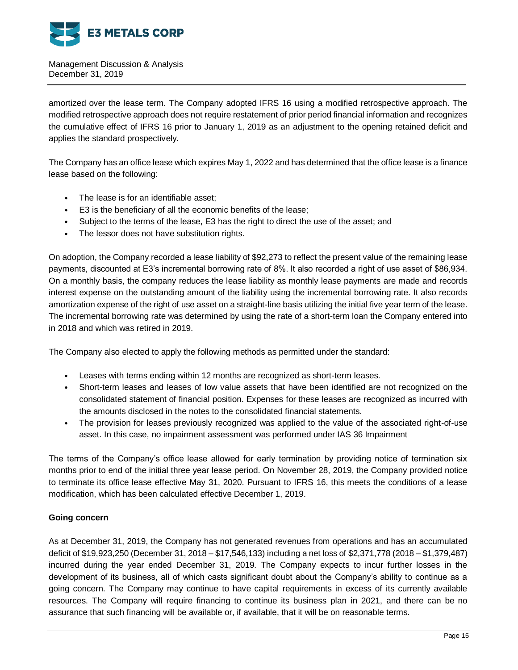

amortized over the lease term. The Company adopted IFRS 16 using a modified retrospective approach. The modified retrospective approach does not require restatement of prior period financial information and recognizes the cumulative effect of IFRS 16 prior to January 1, 2019 as an adjustment to the opening retained deficit and applies the standard prospectively.

The Company has an office lease which expires May 1, 2022 and has determined that the office lease is a finance lease based on the following:

- The lease is for an identifiable asset;
- E3 is the beneficiary of all the economic benefits of the lease;
- Subject to the terms of the lease, E3 has the right to direct the use of the asset; and
- The lessor does not have substitution rights.

On adoption, the Company recorded a lease liability of \$92,273 to reflect the present value of the remaining lease payments, discounted at E3's incremental borrowing rate of 8%. It also recorded a right of use asset of \$86,934. On a monthly basis, the company reduces the lease liability as monthly lease payments are made and records interest expense on the outstanding amount of the liability using the incremental borrowing rate. It also records amortization expense of the right of use asset on a straight-line basis utilizing the initial five year term of the lease. The incremental borrowing rate was determined by using the rate of a short-term loan the Company entered into in 2018 and which was retired in 2019.

The Company also elected to apply the following methods as permitted under the standard:

- Leases with terms ending within 12 months are recognized as short-term leases.
- Short-term leases and leases of low value assets that have been identified are not recognized on the consolidated statement of financial position. Expenses for these leases are recognized as incurred with the amounts disclosed in the notes to the consolidated financial statements.
- The provision for leases previously recognized was applied to the value of the associated right-of-use asset. In this case, no impairment assessment was performed under IAS 36 Impairment

The terms of the Company's office lease allowed for early termination by providing notice of termination six months prior to end of the initial three year lease period. On November 28, 2019, the Company provided notice to terminate its office lease effective May 31, 2020. Pursuant to IFRS 16, this meets the conditions of a lease modification, which has been calculated effective December 1, 2019.

# **Going concern**

As at December 31, 2019, the Company has not generated revenues from operations and has an accumulated deficit of \$19,923,250 (December 31, 2018 – \$17,546,133) including a net loss of \$2,371,778 (2018 – \$1,379,487) incurred during the year ended December 31, 2019. The Company expects to incur further losses in the development of its business, all of which casts significant doubt about the Company's ability to continue as a going concern. The Company may continue to have capital requirements in excess of its currently available resources. The Company will require financing to continue its business plan in 2021, and there can be no assurance that such financing will be available or, if available, that it will be on reasonable terms.